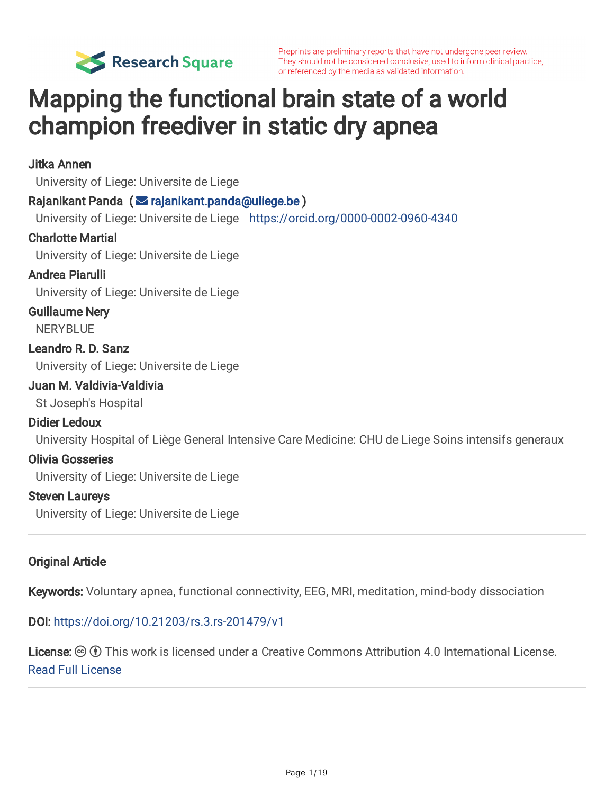

## Mapping the functional brain state of a world champion freediver in static dry apnea

Jitka Annen University of Liege: Universite de Liege Rajanikant Panda ( $\blacksquare$  [rajanikant.panda@uliege.be](mailto:rajanikant.panda@uliege.be)) University of Liege: Universite de Liege <https://orcid.org/0000-0002-0960-4340> Charlotte Martial University of Liege: Universite de Liege Andrea Piarulli University of Liege: Universite de Liege Guillaume Nery **NERYBLUF** Leandro R. D. Sanz University of Liege: Universite de Liege Juan M. Valdivia-Valdivia St Joseph's Hospital Didier Ledoux University Hospital of Liège General Intensive Care Medicine: CHU de Liege Soins intensifs generaux Olivia Gosseries University of Liege: Universite de Liege Steven Laureys University of Liege: Universite de Liege

#### Original Article

Keywords: Voluntary apnea, functional connectivity, EEG, MRI, meditation, mind-body dissociation

DOI: <https://doi.org/10.21203/rs.3.rs-201479/v1>

**License:**  $\textcircled{f}$  This work is licensed under a Creative Commons Attribution 4.0 International License. Read Full [License](https://creativecommons.org/licenses/by/4.0/)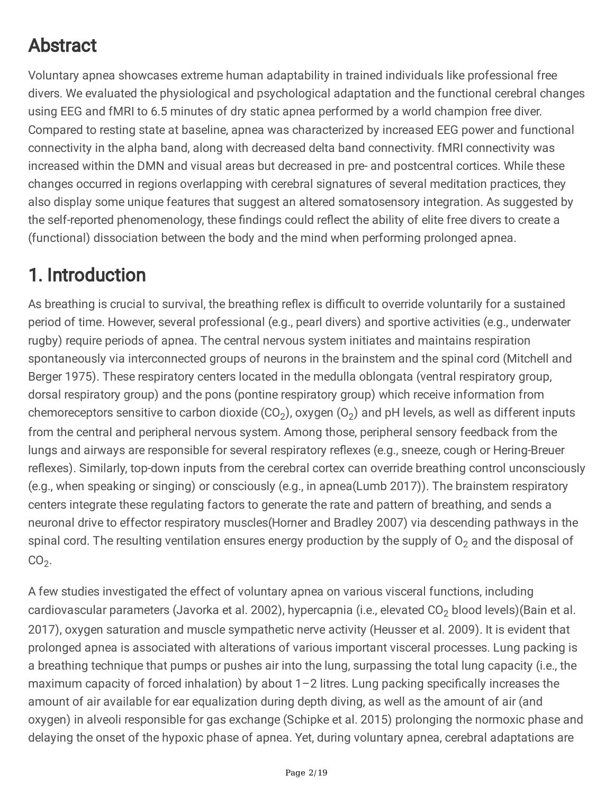### Abstract

Voluntary apnea showcases extreme human adaptability in trained individuals like professional free divers. We evaluated the physiological and psychological adaptation and the functional cerebral changes using EEG and fMRI to 6.5 minutes of dry static apnea performed by a world champion free diver. Compared to resting state at baseline, apnea was characterized by increased EEG power and functional connectivity in the alpha band, along with decreased delta band connectivity. fMRI connectivity was increased within the DMN and visual areas but decreased in pre- and postcentral cortices. While these changes occurred in regions overlapping with cerebral signatures of several meditation practices, they also display some unique features that suggest an altered somatosensory integration. As suggested by the self-reported phenomenology, these findings could reflect the ability of elite free divers to create a (functional) dissociation between the body and the mind when performing prolonged apnea.

### 1. Introduction

As breathing is crucial to survival, the breathing reflex is difficult to override voluntarily for a sustained period of time. However, several professional (e.g., pearl divers) and sportive activities (e.g., underwater rugby) require periods of apnea. The central nervous system initiates and maintains respiration spontaneously via interconnected groups of neurons in the brainstem and the spinal cord (Mitchell and Berger 1975). These respiratory centers located in the medulla oblongata (ventral respiratory group, dorsal respiratory group) and the pons (pontine respiratory group) which receive information from chemoreceptors sensitive to carbon dioxide (CO<sub>2</sub>), oxygen (O<sub>2</sub>) and pH levels, as well as different inputs from the central and peripheral nervous system. Among those, peripheral sensory feedback from the lungs and airways are responsible for several respiratory reflexes (e.g., sneeze, cough or Hering-Breuer reflexes). Similarly, top-down inputs from the cerebral cortex can override breathing control unconsciously (e.g., when speaking or singing) or consciously (e.g., in apnea(Lumb 2017)). The brainstem respiratory centers integrate these regulating factors to generate the rate and pattern of breathing, and sends a neuronal drive to effector respiratory muscles(Horner and Bradley 2007) via descending pathways in the spinal cord. The resulting ventilation ensures energy production by the supply of  $O<sub>2</sub>$  and the disposal of  $CO<sub>2</sub>$ .

A few studies investigated the effect of voluntary apnea on various visceral functions, including cardiovascular parameters (Javorka et al. 2002), hypercapnia (i.e., elevated  $CO<sub>2</sub>$  blood levels)(Bain et al. 2017), oxygen saturation and muscle sympathetic nerve activity (Heusser et al. 2009). It is evident that prolonged apnea is associated with alterations of various important visceral processes. Lung packing is a breathing technique that pumps or pushes air into the lung, surpassing the total lung capacity (i.e., the maximum capacity of forced inhalation) by about  $1-2$  litres. Lung packing specifically increases the amount of air available for ear equalization during depth diving, as well as the amount of air (and oxygen) in alveoli responsible for gas exchange (Schipke et al. 2015) prolonging the normoxic phase and delaying the onset of the hypoxic phase of apnea. Yet, during voluntary apnea, cerebral adaptations are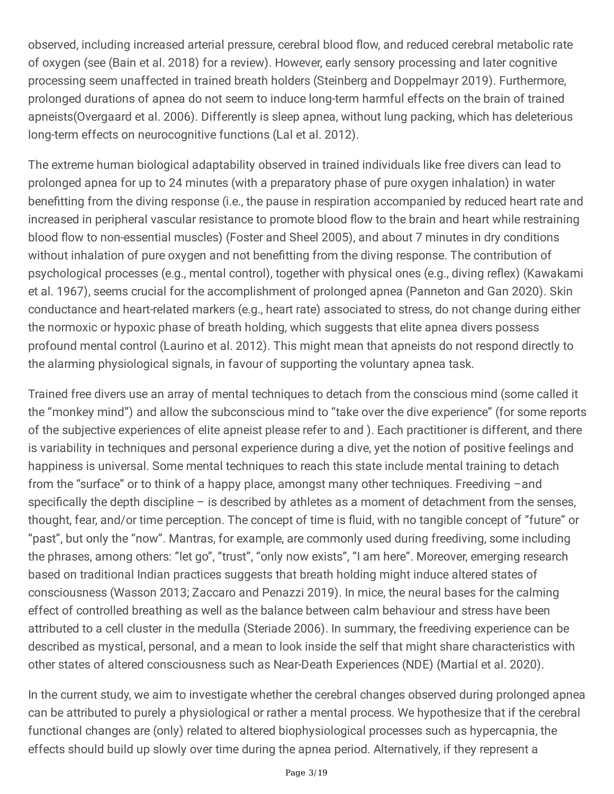observed, including increased arterial pressure, cerebral blood flow, and reduced cerebral metabolic rate of oxygen (see (Bain et al. 2018) for a review). However, early sensory processing and later cognitive processing seem unaffected in trained breath holders (Steinberg and Doppelmayr 2019). Furthermore, prolonged durations of apnea do not seem to induce long-term harmful effects on the brain of trained apneists(Overgaard et al. 2006). Differently is sleep apnea, without lung packing, which has deleterious long-term effects on neurocognitive functions (Lal et al. 2012).

The extreme human biological adaptability observed in trained individuals like free divers can lead to prolonged apnea for up to 24 minutes (with a preparatory phase of pure oxygen inhalation) in water benefitting from the diving response (i.e., the pause in respiration accompanied by reduced heart rate and increased in peripheral vascular resistance to promote blood flow to the brain and heart while restraining blood flow to non-essential muscles) (Foster and Sheel 2005), and about 7 minutes in dry conditions without inhalation of pure oxygen and not benefitting from the diving response. The contribution of psychological processes (e.g., mental control), together with physical ones (e.g., diving reflex) (Kawakami et al. 1967), seems crucial for the accomplishment of prolonged apnea (Panneton and Gan 2020). Skin conductance and heart-related markers (e.g., heart rate) associated to stress, do not change during either the normoxic or hypoxic phase of breath holding, which suggests that elite apnea divers possess profound mental control (Laurino et al. 2012). This might mean that apneists do not respond directly to the alarming physiological signals, in favour of supporting the voluntary apnea task.

Trained free divers use an array of mental techniques to detach from the conscious mind (some called it the "monkey mind") and allow the subconscious mind to "take over the dive experience" (for some reports of the subjective experiences of elite apneist please refer to and ). Each practitioner is different, and there is variability in techniques and personal experience during a dive, yet the notion of positive feelings and happiness is universal. Some mental techniques to reach this state include mental training to detach from the "surface" or to think of a happy place, amongst many other techniques. Freediving –and specifically the depth discipline  $-$  is described by athletes as a moment of detachment from the senses, thought, fear, and/or time perception. The concept of time is fluid, with no tangible concept of "future" or "past", but only the "now". Mantras, for example, are commonly used during freediving, some including the phrases, among others: "let go", "trust", "only now exists", "I am here". Moreover, emerging research based on traditional Indian practices suggests that breath holding might induce altered states of consciousness (Wasson 2013; Zaccaro and Penazzi 2019). In mice, the neural bases for the calming effect of controlled breathing as well as the balance between calm behaviour and stress have been attributed to a cell cluster in the medulla (Steriade 2006). In summary, the freediving experience can be described as mystical, personal, and a mean to look inside the self that might share characteristics with other states of altered consciousness such as Near-Death Experiences (NDE) (Martial et al. 2020).

In the current study, we aim to investigate whether the cerebral changes observed during prolonged apnea can be attributed to purely a physiological or rather a mental process. We hypothesize that if the cerebral functional changes are (only) related to altered biophysiological processes such as hypercapnia, the effects should build up slowly over time during the apnea period. Alternatively, if they represent a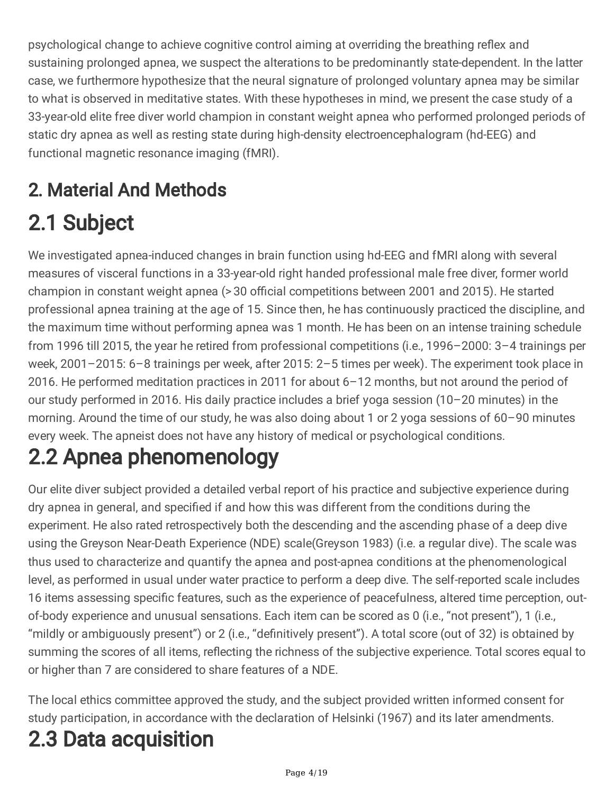psychological change to achieve cognitive control aiming at overriding the breathing reflex and sustaining prolonged apnea, we suspect the alterations to be predominantly state-dependent. In the latter case, we furthermore hypothesize that the neural signature of prolonged voluntary apnea may be similar to what is observed in meditative states. With these hypotheses in mind, we present the case study of a 33-year-old elite free diver world champion in constant weight apnea who performed prolonged periods of static dry apnea as well as resting state during high-density electroencephalogram (hd-EEG) and functional magnetic resonance imaging (fMRI).

## 2. Material And Methods

# 2.1 Subject

We investigated apnea-induced changes in brain function using hd-EEG and fMRI along with several measures of visceral functions in a 33-year-old right handed professional male free diver, former world champion in constant weight apnea (> 30 official competitions between 2001 and 2015). He started professional apnea training at the age of 15. Since then, he has continuously practiced the discipline, and the maximum time without performing apnea was 1 month. He has been on an intense training schedule from 1996 till 2015, the year he retired from professional competitions (i.e., 1996–2000: 3–4 trainings per week, 2001–2015: 6–8 trainings per week, after 2015: 2–5 times per week). The experiment took place in 2016. He performed meditation practices in 2011 for about 6–12 months, but not around the period of our study performed in 2016. His daily practice includes a brief yoga session (10–20 minutes) in the morning. Around the time of our study, he was also doing about 1 or 2 yoga sessions of 60–90 minutes every week. The apneist does not have any history of medical or psychological conditions.

## 2.2 Apnea phenomenology

Our elite diver subject provided a detailed verbal report of his practice and subjective experience during dry apnea in general, and specified if and how this was different from the conditions during the experiment. He also rated retrospectively both the descending and the ascending phase of a deep dive using the Greyson Near-Death Experience (NDE) scale(Greyson 1983) (i.e. a regular dive). The scale was thus used to characterize and quantify the apnea and post-apnea conditions at the phenomenological level, as performed in usual under water practice to perform a deep dive. The self-reported scale includes 16 items assessing specific features, such as the experience of peacefulness, altered time perception, outof-body experience and unusual sensations. Each item can be scored as 0 (i.e., "not present"), 1 (i.e., "mildly or ambiguously present") or 2 (i.e., "definitively present"). A total score (out of 32) is obtained by summing the scores of all items, reflecting the richness of the subjective experience. Total scores equal to or higher than 7 are considered to share features of a NDE.

The local ethics committee approved the study, and the subject provided written informed consent for study participation, in accordance with the declaration of Helsinki (1967) and its later amendments.

## 2.3 Data acquisition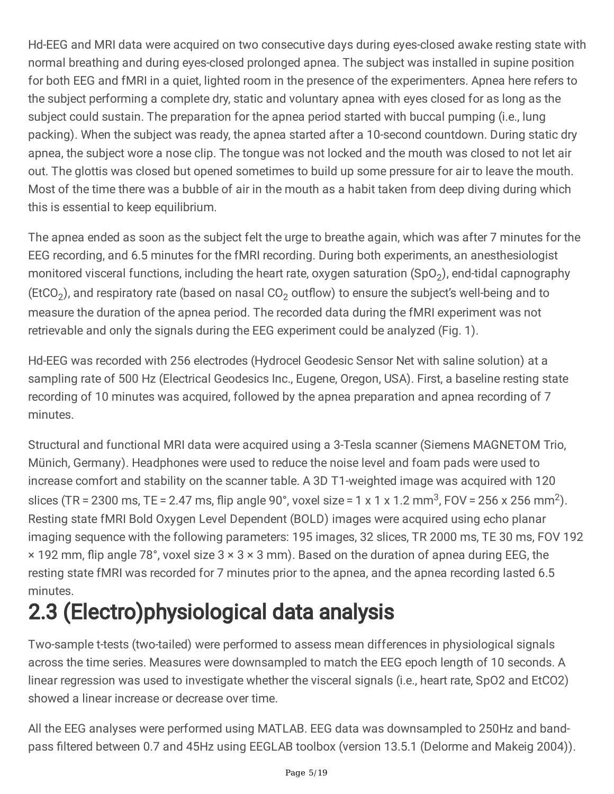Hd-EEG and MRI data were acquired on two consecutive days during eyes-closed awake resting state with normal breathing and during eyes-closed prolonged apnea. The subject was installed in supine position for both EEG and fMRI in a quiet, lighted room in the presence of the experimenters. Apnea here refers to the subject performing a complete dry, static and voluntary apnea with eyes closed for as long as the subject could sustain. The preparation for the apnea period started with buccal pumping (i.e., lung packing). When the subject was ready, the apnea started after a 10-second countdown. During static dry apnea, the subject wore a nose clip. The tongue was not locked and the mouth was closed to not let air out. The glottis was closed but opened sometimes to build up some pressure for air to leave the mouth. Most of the time there was a bubble of air in the mouth as a habit taken from deep diving during which this is essential to keep equilibrium.

The apnea ended as soon as the subject felt the urge to breathe again, which was after 7 minutes for the EEG recording, and 6.5 minutes for the fMRI recording. During both experiments, an anesthesiologist monitored visceral functions, including the heart rate, oxygen saturation (SpO<sub>2</sub>), end-tidal capnography (EtCO<sub>2</sub>), and respiratory rate (based on nasal CO<sub>2</sub> outflow) to ensure the subject's well-being and to measure the duration of the apnea period. The recorded data during the fMRI experiment was not retrievable and only the signals during the EEG experiment could be analyzed (Fig. 1).

Hd-EEG was recorded with 256 electrodes (Hydrocel Geodesic Sensor Net with saline solution) at a sampling rate of 500 Hz (Electrical Geodesics Inc., Eugene, Oregon, USA). First, a baseline resting state recording of 10 minutes was acquired, followed by the apnea preparation and apnea recording of 7 minutes.

Structural and functional MRI data were acquired using a 3-Tesla scanner (Siemens MAGNETOM Trio, Münich, Germany). Headphones were used to reduce the noise level and foam pads were used to increase comfort and stability on the scanner table. A 3D T1-weighted image was acquired with 120 slices (TR = 2300 ms, TE = 2.47 ms, flip angle 90°, voxel size = 1 x 1 x 1.2 mm<sup>3</sup>, FOV = 256 x 256 mm<sup>2</sup>). Resting state fMRI Bold Oxygen Level Dependent (BOLD) images were acquired using echo planar imaging sequence with the following parameters: 195 images, 32 slices, TR 2000 ms, TE 30 ms, FOV 192  $\times$  192 mm, flip angle 78°, voxel size 3  $\times$  3  $\times$  3 mm). Based on the duration of apnea during EEG, the resting state fMRI was recorded for 7 minutes prior to the apnea, and the apnea recording lasted 6.5 minutes.

# 2.3 (Electro)physiological data analysis

Two-sample t-tests (two-tailed) were performed to assess mean differences in physiological signals across the time series. Measures were downsampled to match the EEG epoch length of 10 seconds. A linear regression was used to investigate whether the visceral signals (i.e., heart rate, SpO2 and EtCO2) showed a linear increase or decrease over time.

All the EEG analyses were performed using MATLAB. EEG data was downsampled to 250Hz and bandpass filtered between 0.7 and 45Hz using EEGLAB toolbox (version 13.5.1 (Delorme and Makeig 2004)).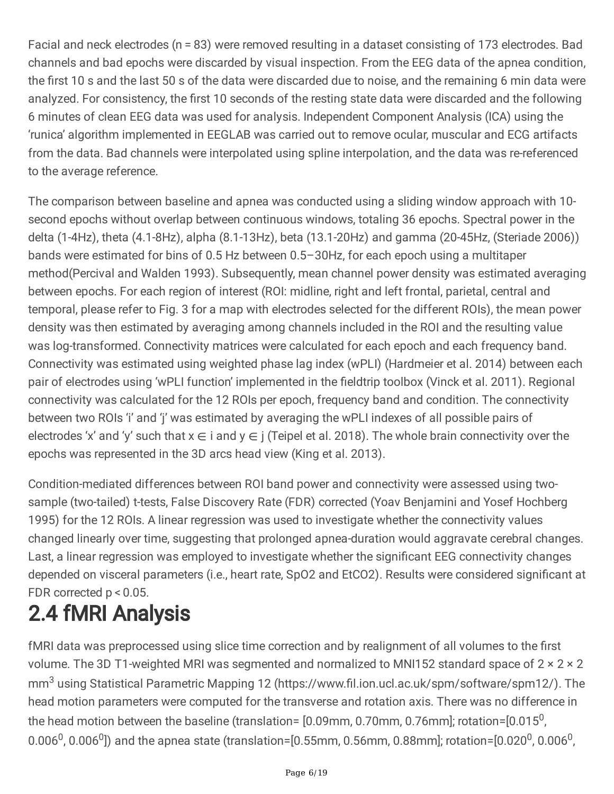Facial and neck electrodes (n = 83) were removed resulting in a dataset consisting of 173 electrodes. Bad channels and bad epochs were discarded by visual inspection. From the EEG data of the apnea condition, the first 10 s and the last 50 s of the data were discarded due to noise, and the remaining 6 min data were analyzed. For consistency, the first 10 seconds of the resting state data were discarded and the following 6 minutes of clean EEG data was used for analysis. Independent Component Analysis (ICA) using the 'runica' algorithm implemented in EEGLAB was carried out to remove ocular, muscular and ECG artifacts from the data. Bad channels were interpolated using spline interpolation, and the data was re-referenced to the average reference.

The comparison between baseline and apnea was conducted using a sliding window approach with 10 second epochs without overlap between continuous windows, totaling 36 epochs. Spectral power in the delta (1-4Hz), theta (4.1-8Hz), alpha (8.1-13Hz), beta (13.1-20Hz) and gamma (20-45Hz, (Steriade 2006)) bands were estimated for bins of 0.5 Hz between 0.5–30Hz, for each epoch using a multitaper method(Percival and Walden 1993). Subsequently, mean channel power density was estimated averaging between epochs. For each region of interest (ROI: midline, right and left frontal, parietal, central and temporal, please refer to Fig. 3 for a map with electrodes selected for the different ROIs), the mean power density was then estimated by averaging among channels included in the ROI and the resulting value was log-transformed. Connectivity matrices were calculated for each epoch and each frequency band. Connectivity was estimated using weighted phase lag index (wPLI) (Hardmeier et al. 2014) between each pair of electrodes using 'wPLI function' implemented in the fieldtrip toolbox (Vinck et al. 2011). Regional connectivity was calculated for the 12 ROIs per epoch, frequency band and condition. The connectivity between two ROIs 'i' and 'j' was estimated by averaging the wPLI indexes of all possible pairs of electrodes 'x' and 'y' such that  $x \in i$  and  $y \in j$  (Teipel et al. 2018). The whole brain connectivity over the epochs was represented in the 3D arcs head view (King et al. 2013).

Condition-mediated differences between ROI band power and connectivity were assessed using twosample (two-tailed) t-tests, False Discovery Rate (FDR) corrected (Yoav Benjamini and Yosef Hochberg 1995) for the 12 ROIs. A linear regression was used to investigate whether the connectivity values changed linearly over time, suggesting that prolonged apnea-duration would aggravate cerebral changes. Last, a linear regression was employed to investigate whether the significant EEG connectivity changes depended on visceral parameters (i.e., heart rate, SpO2 and EtCO2). Results were considered significant at FDR corrected p < 0.05.

# 2.4 fMRI Analysis

fMRI data was preprocessed using slice time correction and by realignment of all volumes to the first volume. The 3D T1-weighted MRI was segmented and normalized to MNI152 standard space of  $2 \times 2 \times 2$ mm<sup>3</sup> using Statistical Parametric Mapping 12 (https://www.fil.ion.ucl.ac.uk/spm/software/spm12/). The head motion parameters were computed for the transverse and rotation axis. There was no difference in the head motion between the baseline (translation= [0.09mm, 0.70mm, 0.76mm]; rotation=[0.015<sup>0</sup>, 0.006<sup>0</sup>, 0.006<sup>0</sup>]) and the apnea state (translation=[0.55mm, 0.56mm, 0.88mm]; rotation=[0.020<sup>0</sup>, 0.006<sup>0</sup>, ,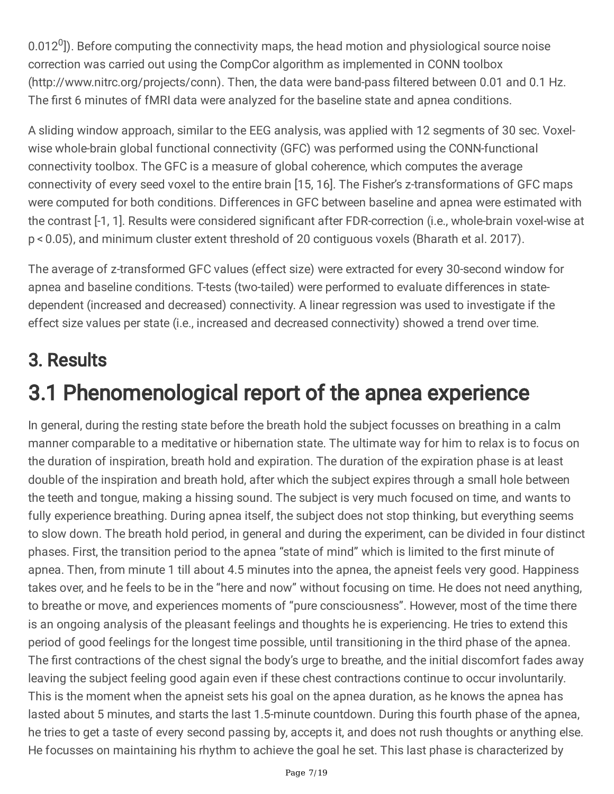0.012<sup>0</sup>]). Before computing the connectivity maps, the head motion and physiological source noise correction was carried out using the CompCor algorithm as implemented in CONN toolbox (http://www.nitrc.org/projects/conn). Then, the data were band-pass filtered between 0.01 and 0.1 Hz. The first 6 minutes of fMRI data were analyzed for the baseline state and apnea conditions.

A sliding window approach, similar to the EEG analysis, was applied with 12 segments of 30 sec. Voxelwise whole-brain global functional connectivity (GFC) was performed using the CONN-functional connectivity toolbox. The GFC is a measure of global coherence, which computes the average connectivity of every seed voxel to the entire brain [15, 16]. The Fisher's z-transformations of GFC maps were computed for both conditions. Differences in GFC between baseline and apnea were estimated with the contrast [-1, 1]. Results were considered significant after FDR-correction (i.e., whole-brain voxel-wise at p < 0.05), and minimum cluster extent threshold of 20 contiguous voxels (Bharath et al. 2017).

The average of z-transformed GFC values (effect size) were extracted for every 30-second window for apnea and baseline conditions. T-tests (two-tailed) were performed to evaluate differences in statedependent (increased and decreased) connectivity. A linear regression was used to investigate if the effect size values per state (i.e., increased and decreased connectivity) showed a trend over time.

### 3. Results

## 3.1 Phenomenological report of the apnea experience

In general, during the resting state before the breath hold the subject focusses on breathing in a calm manner comparable to a meditative or hibernation state. The ultimate way for him to relax is to focus on the duration of inspiration, breath hold and expiration. The duration of the expiration phase is at least double of the inspiration and breath hold, after which the subject expires through a small hole between the teeth and tongue, making a hissing sound. The subject is very much focused on time, and wants to fully experience breathing. During apnea itself, the subject does not stop thinking, but everything seems to slow down. The breath hold period, in general and during the experiment, can be divided in four distinct phases. First, the transition period to the apnea "state of mind" which is limited to the first minute of apnea. Then, from minute 1 till about 4.5 minutes into the apnea, the apneist feels very good. Happiness takes over, and he feels to be in the "here and now" without focusing on time. He does not need anything, to breathe or move, and experiences moments of "pure consciousness". However, most of the time there is an ongoing analysis of the pleasant feelings and thoughts he is experiencing. He tries to extend this period of good feelings for the longest time possible, until transitioning in the third phase of the apnea. The first contractions of the chest signal the body's urge to breathe, and the initial discomfort fades away leaving the subject feeling good again even if these chest contractions continue to occur involuntarily. This is the moment when the apneist sets his goal on the apnea duration, as he knows the apnea has lasted about 5 minutes, and starts the last 1.5-minute countdown. During this fourth phase of the apnea, he tries to get a taste of every second passing by, accepts it, and does not rush thoughts or anything else. He focusses on maintaining his rhythm to achieve the goal he set. This last phase is characterized by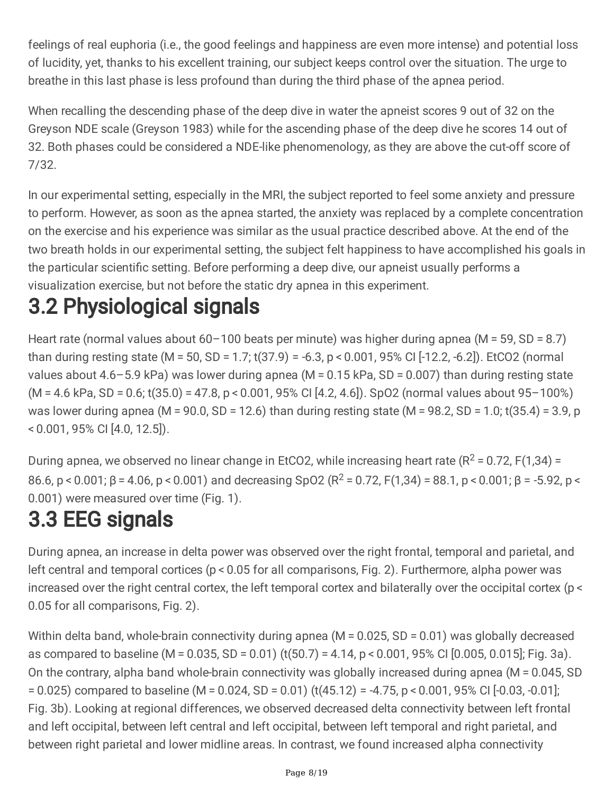feelings of real euphoria (i.e., the good feelings and happiness are even more intense) and potential loss of lucidity, yet, thanks to his excellent training, our subject keeps control over the situation. The urge to breathe in this last phase is less profound than during the third phase of the apnea period.

When recalling the descending phase of the deep dive in water the apneist scores 9 out of 32 on the Greyson NDE scale (Greyson 1983) while for the ascending phase of the deep dive he scores 14 out of 32. Both phases could be considered a NDE-like phenomenology, as they are above the cut-off score of 7/32.

In our experimental setting, especially in the MRI, the subject reported to feel some anxiety and pressure to perform. However, as soon as the apnea started, the anxiety was replaced by a complete concentration on the exercise and his experience was similar as the usual practice described above. At the end of the two breath holds in our experimental setting, the subject felt happiness to have accomplished his goals in the particular scientific setting. Before performing a deep dive, our apneist usually performs a visualization exercise, but not before the static dry apnea in this experiment.

## 3.2 Physiological signals

Heart rate (normal values about  $60-100$  beats per minute) was higher during apnea (M = 59, SD = 8.7) than during resting state (M = 50, SD = 1.7; t(37.9) = -6.3, p < 0.001, 95% CI [-12.2, -6.2]). EtCO2 (normal values about 4.6–5.9 kPa) was lower during apnea (M = 0.15 kPa, SD = 0.007) than during resting state  $(M = 4.6 \text{ kPa}, SD = 0.6; t(35.0) = 47.8, p < 0.001, 95\% \text{ CI} [4.2, 4.6])$ . SpO2 (normal values about 95-100%) was lower during apnea (M = 90.0, SD = 12.6) than during resting state (M = 98.2, SD = 1.0; t(35.4) = 3.9, p < 0.001, 95% CI [4.0, 12.5]).

During apnea, we observed no linear change in EtCO2, while increasing heart rate ( $R^2$  = 0.72, F(1,34) = 86.6, p < 0.001; β = 4.06, p < 0.001) and decreasing SpO2 (R<sup>2</sup> = 0.72, F(1,34) = 88.1, p < 0.001; β = -5.92, p < 0.001) were measured over time (Fig. 1).

## 3.3 EEG signals

During apnea, an increase in delta power was observed over the right frontal, temporal and parietal, and left central and temporal cortices (p < 0.05 for all comparisons, Fig. 2). Furthermore, alpha power was increased over the right central cortex, the left temporal cortex and bilaterally over the occipital cortex (p < 0.05 for all comparisons, Fig. 2).

Within delta band, whole-brain connectivity during apnea (M = 0.025, SD = 0.01) was globally decreased as compared to baseline (M = 0.035, SD = 0.01) (t(50.7) = 4.14, p < 0.001, 95% CI [0.005, 0.015]; Fig. 3a). On the contrary, alpha band whole-brain connectivity was globally increased during apnea (M = 0.045, SD  $= 0.025$ ) compared to baseline (M = 0.024, SD = 0.01) (t(45.12) = -4.75, p < 0.001, 95% CI [-0.03, -0.01]; Fig. 3b). Looking at regional differences, we observed decreased delta connectivity between left frontal and left occipital, between left central and left occipital, between left temporal and right parietal, and between right parietal and lower midline areas. In contrast, we found increased alpha connectivity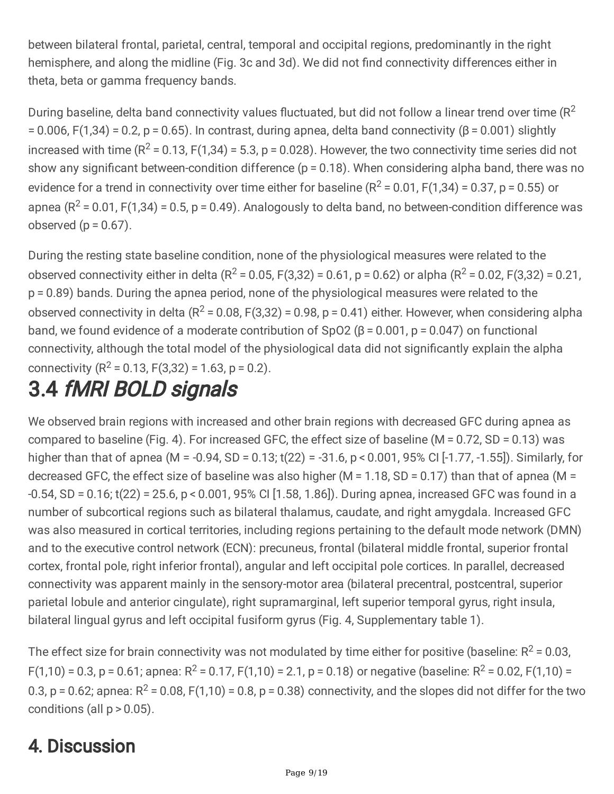between bilateral frontal, parietal, central, temporal and occipital regions, predominantly in the right hemisphere, and along the midline (Fig. 3c and 3d). We did not find connectivity differences either in theta, beta or gamma frequency bands.

During baseline, delta band connectivity values fluctuated, but did not follow a linear trend over time ( $R^2$ = 0.006, F(1,34) = 0.2, p = 0.65). In contrast, during apnea, delta band connectivity (β = 0.001) slightly increased with time ( $R^2$  = 0.13, F(1,34) = 5.3, p = 0.028). However, the two connectivity time series did not show any significant between-condition difference ( $p = 0.18$ ). When considering alpha band, there was no evidence for a trend in connectivity over time either for baseline ( $R^2$  = 0.01, F(1,34) = 0.37, p = 0.55) or apnea ( $R^2$  = 0.01, F(1,34) = 0.5, p = 0.49). Analogously to delta band, no between-condition difference was observed  $(p = 0.67)$ .

During the resting state baseline condition, none of the physiological measures were related to the observed connectivity either in delta ( $R^2$  = 0.05, F(3,32) = 0.61, p = 0.62) or alpha ( $R^2$  = 0.02, F(3,32) = 0.21, p = 0.89) bands. During the apnea period, none of the physiological measures were related to the observed connectivity in delta ( $R^2$  = 0.08, F(3,32) = 0.98, p = 0.41) either. However, when considering alpha band, we found evidence of a moderate contribution of SpO2 ( $\beta$  = 0.001, p = 0.047) on functional connectivity, although the total model of the physiological data did not significantly explain the alpha connectivity ( $R^2$  = 0.13, F(3,32) = 1.63, p = 0.2).

## 3.4 fMRI BOLD signals

We observed brain regions with increased and other brain regions with decreased GFC during apnea as compared to baseline (Fig. 4). For increased GFC, the effect size of baseline (M = 0.72, SD = 0.13) was higher than that of apnea (M = -0.94, SD = 0.13; t(22) = -31.6, p < 0.001, 95% CI [-1.77, -1.55]). Similarly, for decreased GFC, the effect size of baseline was also higher (M =  $1.18$ , SD =  $0.17$ ) than that of apnea (M = -0.54, SD = 0.16; t(22) = 25.6, p < 0.001, 95% CI [1.58, 1.86]). During apnea, increased GFC was found in a number of subcortical regions such as bilateral thalamus, caudate, and right amygdala. Increased GFC was also measured in cortical territories, including regions pertaining to the default mode network (DMN) and to the executive control network (ECN): precuneus, frontal (bilateral middle frontal, superior frontal cortex, frontal pole, right inferior frontal), angular and left occipital pole cortices. In parallel, decreased connectivity was apparent mainly in the sensory-motor area (bilateral precentral, postcentral, superior parietal lobule and anterior cingulate), right supramarginal, left superior temporal gyrus, right insula, bilateral lingual gyrus and left occipital fusiform gyrus (Fig. 4, Supplementary table 1).

The effect size for brain connectivity was not modulated by time either for positive (baseline:  $R^2$  = 0.03, F(1,10) = 0.3, p = 0.61; apnea: R<sup>2</sup> = 0.17, F(1,10) = 2.1, p = 0.18) or negative (baseline: R<sup>2</sup> = 0.02, F(1,10) = 0.3, p = 0.62; apnea:  $R^2$  = 0.08, F(1,10) = 0.8, p = 0.38) connectivity, and the slopes did not differ for the two conditions (all  $p > 0.05$ ).

### 4. Discussion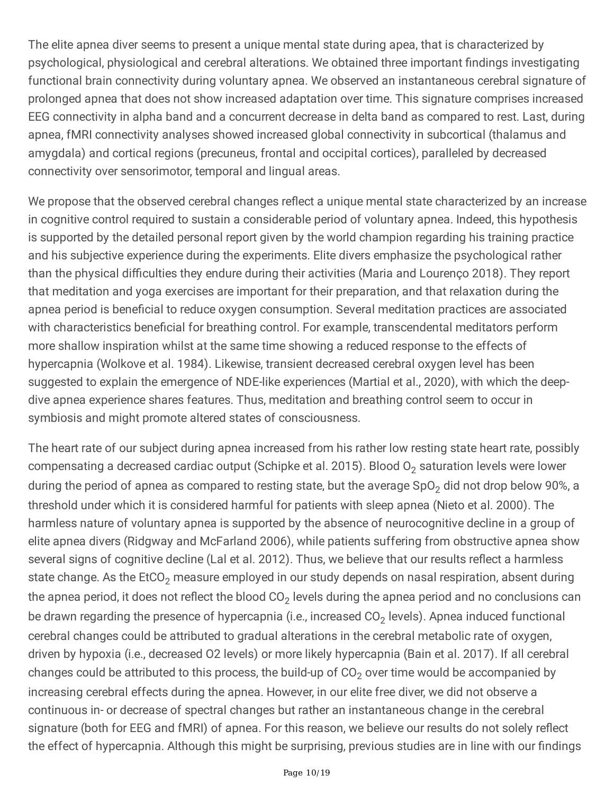The elite apnea diver seems to present a unique mental state during apea, that is characterized by psychological, physiological and cerebral alterations. We obtained three important findings investigating functional brain connectivity during voluntary apnea. We observed an instantaneous cerebral signature of prolonged apnea that does not show increased adaptation over time. This signature comprises increased EEG connectivity in alpha band and a concurrent decrease in delta band as compared to rest. Last, during apnea, fMRI connectivity analyses showed increased global connectivity in subcortical (thalamus and amygdala) and cortical regions (precuneus, frontal and occipital cortices), paralleled by decreased connectivity over sensorimotor, temporal and lingual areas.

We propose that the observed cerebral changes reflect a unique mental state characterized by an increase in cognitive control required to sustain a considerable period of voluntary apnea. Indeed, this hypothesis is supported by the detailed personal report given by the world champion regarding his training practice and his subjective experience during the experiments. Elite divers emphasize the psychological rather than the physical difficulties they endure during their activities (Maria and Lourenço 2018). They report that meditation and yoga exercises are important for their preparation, and that relaxation during the apnea period is beneficial to reduce oxygen consumption. Several meditation practices are associated with characteristics beneficial for breathing control. For example, transcendental meditators perform more shallow inspiration whilst at the same time showing a reduced response to the effects of hypercapnia (Wolkove et al. 1984). Likewise, transient decreased cerebral oxygen level has been suggested to explain the emergence of NDE-like experiences (Martial et al., 2020), with which the deepdive apnea experience shares features. Thus, meditation and breathing control seem to occur in symbiosis and might promote altered states of consciousness.

The heart rate of our subject during apnea increased from his rather low resting state heart rate, possibly compensating a decreased cardiac output (Schipke et al. 2015). Blood  $O_2$  saturation levels were lower during the period of apnea as compared to resting state, but the average SpO<sub>2</sub> did not drop below 90%, a threshold under which it is considered harmful for patients with sleep apnea (Nieto et al. 2000). The harmless nature of voluntary apnea is supported by the absence of neurocognitive decline in a group of elite apnea divers (Ridgway and McFarland 2006), while patients suffering from obstructive apnea show several signs of cognitive decline (Lal et al. 2012). Thus, we believe that our results reflect a harmless state change. As the EtCO<sub>2</sub> measure employed in our study depends on nasal respiration, absent during the apnea period, it does not reflect the blood CO<sub>2</sub> levels during the apnea period and no conclusions can be drawn regarding the presence of hypercapnia (i.e., increased CO $_2$  levels). Apnea induced functional cerebral changes could be attributed to gradual alterations in the cerebral metabolic rate of oxygen, driven by hypoxia (i.e., decreased O2 levels) or more likely hypercapnia (Bain et al. 2017). If all cerebral changes could be attributed to this process, the build-up of  $CO<sub>2</sub>$  over time would be accompanied by increasing cerebral effects during the apnea. However, in our elite free diver, we did not observe a continuous in- or decrease of spectral changes but rather an instantaneous change in the cerebral signature (both for EEG and fMRI) of apnea. For this reason, we believe our results do not solely reflect the effect of hypercapnia. Although this might be surprising, previous studies are in line with our findings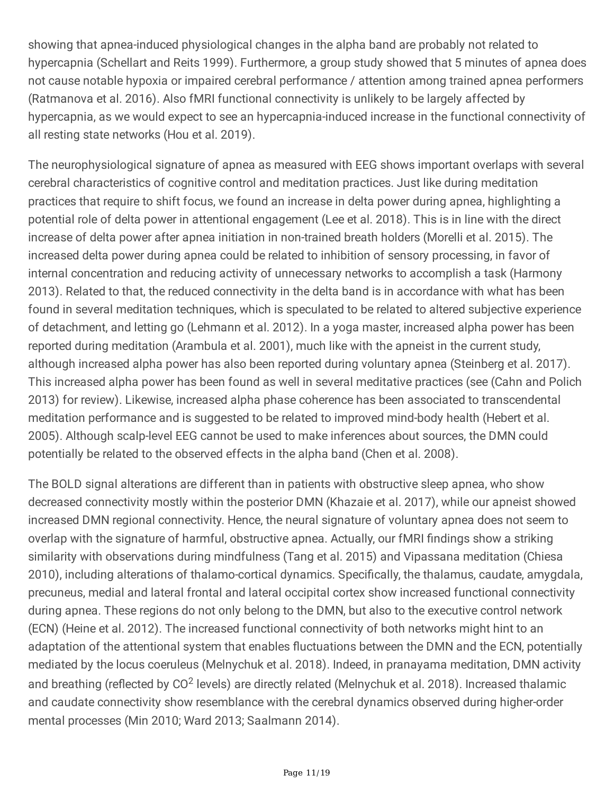showing that apnea-induced physiological changes in the alpha band are probably not related to hypercapnia (Schellart and Reits 1999). Furthermore, a group study showed that 5 minutes of apnea does not cause notable hypoxia or impaired cerebral performance / attention among trained apnea performers (Ratmanova et al. 2016). Also fMRI functional connectivity is unlikely to be largely affected by hypercapnia, as we would expect to see an hypercapnia-induced increase in the functional connectivity of all resting state networks (Hou et al. 2019).

The neurophysiological signature of apnea as measured with EEG shows important overlaps with several cerebral characteristics of cognitive control and meditation practices. Just like during meditation practices that require to shift focus, we found an increase in delta power during apnea, highlighting a potential role of delta power in attentional engagement (Lee et al. 2018). This is in line with the direct increase of delta power after apnea initiation in non-trained breath holders (Morelli et al. 2015). The increased delta power during apnea could be related to inhibition of sensory processing, in favor of internal concentration and reducing activity of unnecessary networks to accomplish a task (Harmony 2013). Related to that, the reduced connectivity in the delta band is in accordance with what has been found in several meditation techniques, which is speculated to be related to altered subjective experience of detachment, and letting go (Lehmann et al. 2012). In a yoga master, increased alpha power has been reported during meditation (Arambula et al. 2001), much like with the apneist in the current study, although increased alpha power has also been reported during voluntary apnea (Steinberg et al. 2017). This increased alpha power has been found as well in several meditative practices (see (Cahn and Polich 2013) for review). Likewise, increased alpha phase coherence has been associated to transcendental meditation performance and is suggested to be related to improved mind-body health (Hebert et al. 2005). Although scalp-level EEG cannot be used to make inferences about sources, the DMN could potentially be related to the observed effects in the alpha band (Chen et al. 2008).

The BOLD signal alterations are different than in patients with obstructive sleep apnea, who show decreased connectivity mostly within the posterior DMN (Khazaie et al. 2017), while our apneist showed increased DMN regional connectivity. Hence, the neural signature of voluntary apnea does not seem to overlap with the signature of harmful, obstructive apnea. Actually, our fMRI findings show a striking similarity with observations during mindfulness (Tang et al. 2015) and Vipassana meditation (Chiesa 2010), including alterations of thalamo-cortical dynamics. Specifically, the thalamus, caudate, amygdala, precuneus, medial and lateral frontal and lateral occipital cortex show increased functional connectivity during apnea. These regions do not only belong to the DMN, but also to the executive control network (ECN) (Heine et al. 2012). The increased functional connectivity of both networks might hint to an adaptation of the attentional system that enables fluctuations between the DMN and the ECN, potentially mediated by the locus coeruleus (Melnychuk et al. 2018). Indeed, in pranayama meditation, DMN activity and breathing (reflected by CO<sup>2</sup> levels) are directly related (Melnychuk et al. 2018). Increased thalamic and caudate connectivity show resemblance with the cerebral dynamics observed during higher-order mental processes (Min 2010; Ward 2013; Saalmann 2014).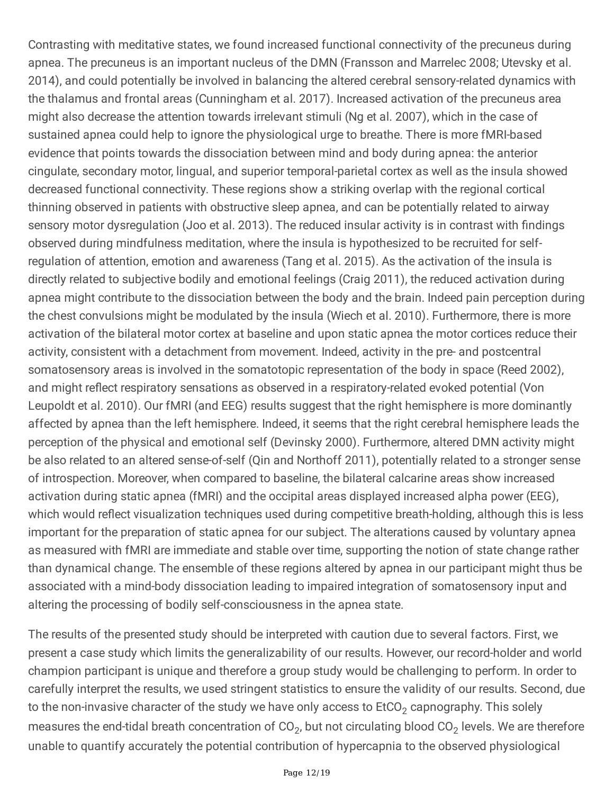Contrasting with meditative states, we found increased functional connectivity of the precuneus during apnea. The precuneus is an important nucleus of the DMN (Fransson and Marrelec 2008; Utevsky et al. 2014), and could potentially be involved in balancing the altered cerebral sensory-related dynamics with the thalamus and frontal areas (Cunningham et al. 2017). Increased activation of the precuneus area might also decrease the attention towards irrelevant stimuli (Ng et al. 2007), which in the case of sustained apnea could help to ignore the physiological urge to breathe. There is more fMRI-based evidence that points towards the dissociation between mind and body during apnea: the anterior cingulate, secondary motor, lingual, and superior temporal-parietal cortex as well as the insula showed decreased functional connectivity. These regions show a striking overlap with the regional cortical thinning observed in patients with obstructive sleep apnea, and can be potentially related to airway sensory motor dysregulation (Joo et al. 2013). The reduced insular activity is in contrast with findings observed during mindfulness meditation, where the insula is hypothesized to be recruited for selfregulation of attention, emotion and awareness (Tang et al. 2015). As the activation of the insula is directly related to subjective bodily and emotional feelings (Craig 2011), the reduced activation during apnea might contribute to the dissociation between the body and the brain. Indeed pain perception during the chest convulsions might be modulated by the insula (Wiech et al. 2010). Furthermore, there is more activation of the bilateral motor cortex at baseline and upon static apnea the motor cortices reduce their activity, consistent with a detachment from movement. Indeed, activity in the pre- and postcentral somatosensory areas is involved in the somatotopic representation of the body in space (Reed 2002), and might reflect respiratory sensations as observed in a respiratory-related evoked potential (Von Leupoldt et al. 2010). Our fMRI (and EEG) results suggest that the right hemisphere is more dominantly affected by apnea than the left hemisphere. Indeed, it seems that the right cerebral hemisphere leads the perception of the physical and emotional self (Devinsky 2000). Furthermore, altered DMN activity might be also related to an altered sense-of-self (Qin and Northoff 2011), potentially related to a stronger sense of introspection. Moreover, when compared to baseline, the bilateral calcarine areas show increased activation during static apnea (fMRI) and the occipital areas displayed increased alpha power (EEG), which would reflect visualization techniques used during competitive breath-holding, although this is less important for the preparation of static apnea for our subject. The alterations caused by voluntary apnea as measured with fMRI are immediate and stable over time, supporting the notion of state change rather than dynamical change. The ensemble of these regions altered by apnea in our participant might thus be associated with a mind-body dissociation leading to impaired integration of somatosensory input and altering the processing of bodily self-consciousness in the apnea state.

The results of the presented study should be interpreted with caution due to several factors. First, we present a case study which limits the generalizability of our results. However, our record-holder and world champion participant is unique and therefore a group study would be challenging to perform. In order to carefully interpret the results, we used stringent statistics to ensure the validity of our results. Second, due to the non-invasive character of the study we have only access to EtCO<sub>2</sub> capnography. This solely measures the end-tidal breath concentration of CO<sub>2</sub>, but not circulating blood CO<sub>2</sub> levels. We are therefore unable to quantify accurately the potential contribution of hypercapnia to the observed physiological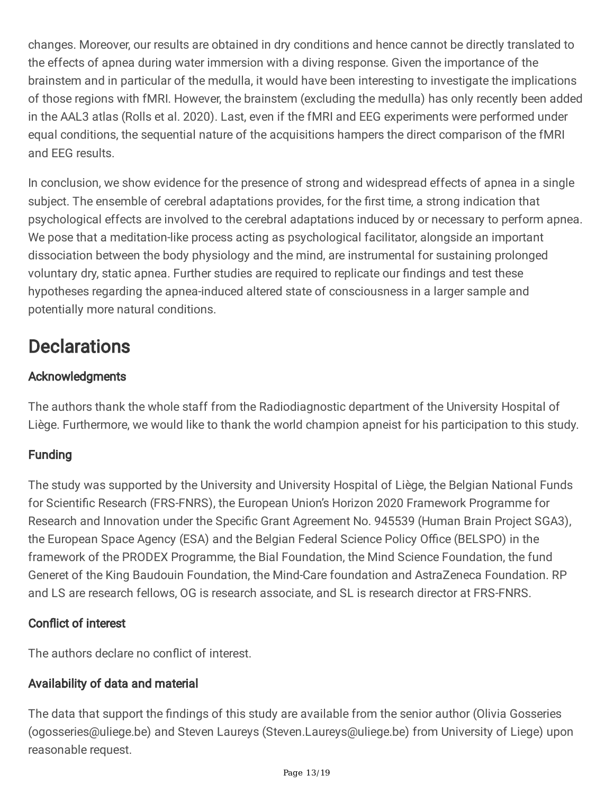changes. Moreover, our results are obtained in dry conditions and hence cannot be directly translated to the effects of apnea during water immersion with a diving response. Given the importance of the brainstem and in particular of the medulla, it would have been interesting to investigate the implications of those regions with fMRI. However, the brainstem (excluding the medulla) has only recently been added in the AAL3 atlas (Rolls et al. 2020). Last, even if the fMRI and EEG experiments were performed under equal conditions, the sequential nature of the acquisitions hampers the direct comparison of the fMRI and EEG results.

In conclusion, we show evidence for the presence of strong and widespread effects of apnea in a single subject. The ensemble of cerebral adaptations provides, for the first time, a strong indication that psychological effects are involved to the cerebral adaptations induced by or necessary to perform apnea. We pose that a meditation-like process acting as psychological facilitator, alongside an important dissociation between the body physiology and the mind, are instrumental for sustaining prolonged voluntary dry, static apnea. Further studies are required to replicate our findings and test these hypotheses regarding the apnea-induced altered state of consciousness in a larger sample and potentially more natural conditions.

### **Declarations**

### Acknowledgments

The authors thank the whole staff from the Radiodiagnostic department of the University Hospital of Liège. Furthermore, we would like to thank the world champion apneist for his participation to this study.

### Funding

The study was supported by the University and University Hospital of Liège, the Belgian National Funds for Scientific Research (FRS-FNRS), the European Union's Horizon 2020 Framework Programme for Research and Innovation under the Specific Grant Agreement No. 945539 (Human Brain Project SGA3), the European Space Agency (ESA) and the Belgian Federal Science Policy Office (BELSPO) in the framework of the PRODEX Programme, the Bial Foundation, the Mind Science Foundation, the fund Generet of the King Baudouin Foundation, the Mind-Care foundation and AstraZeneca Foundation. RP and LS are research fellows, OG is research associate, and SL is research director at FRS-FNRS.

### **Conflict of interest**

The authors declare no conflict of interest.

### Availability of data and material

The data that support the findings of this study are available from the senior author (Olivia Gosseries (ogosseries@uliege.be) and Steven Laureys (Steven.Laureys@uliege.be) from University of Liege) upon reasonable request.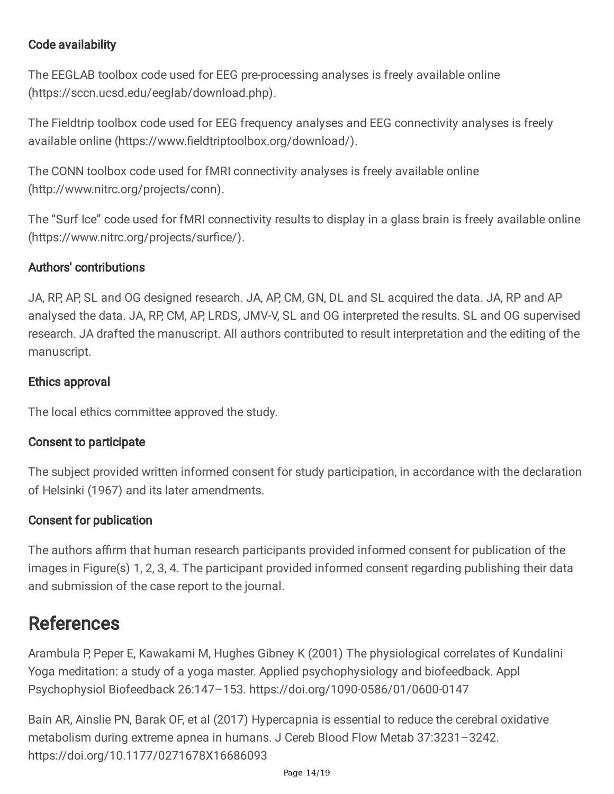### Code availability

The EEGLAB toolbox code used for EEG pre-processing analyses is freely available online (https://sccn.ucsd.edu/eeglab/download.php).

The Fieldtrip toolbox code used for EEG frequency analyses and EEG connectivity analyses is freely available online (https://www.fieldtriptoolbox.org/download/).

The CONN toolbox code used for fMRI connectivity analyses is freely available online (http://www.nitrc.org/projects/conn).

The "Surf Ice" code used for fMRI connectivity results to display in a glass brain is freely available online (https://www.nitrc.org/projects/surfice/).

### Authors' contributions

JA, RP, AP, SL and OG designed research. JA, AP, CM, GN, DL and SL acquired the data. JA, RP and AP analysed the data. JA, RP, CM, AP, LRDS, JMV-V, SL and OG interpreted the results. SL and OG supervised research. JA drafted the manuscript. All authors contributed to result interpretation and the editing of the manuscript.

#### Ethics approval

The local ethics committee approved the study.

### Consent to participate

The subject provided written informed consent for study participation, in accordance with the declaration of Helsinki (1967) and its later amendments.

### Consent for publication

The authors affirm that human research participants provided informed consent for publication of the images in Figure(s) 1, 2, 3, 4. The participant provided informed consent regarding publishing their data and submission of the case report to the journal.

### References

Arambula P, Peper E, Kawakami M, Hughes Gibney K (2001) The physiological correlates of Kundalini Yoga meditation: a study of a yoga master. Applied psychophysiology and biofeedback. Appl Psychophysiol Biofeedback 26:147–153. https://doi.org/1090-0586/01/0600-0147

Bain AR, Ainslie PN, Barak OF, et al (2017) Hypercapnia is essential to reduce the cerebral oxidative metabolism during extreme apnea in humans. J Cereb Blood Flow Metab 37:3231–3242. https://doi.org/10.1177/0271678X16686093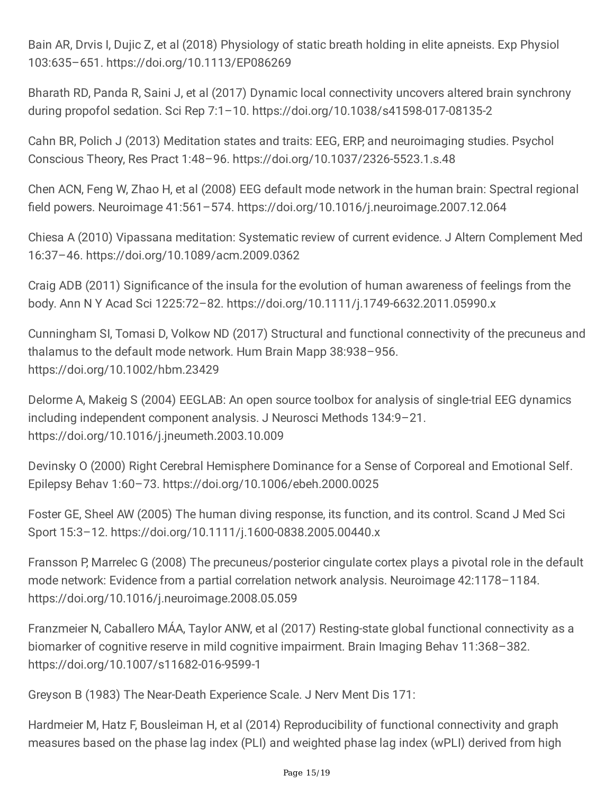Bain AR, Drvis I, Dujic Z, et al (2018) Physiology of static breath holding in elite apneists. Exp Physiol 103:635–651. https://doi.org/10.1113/EP086269

Bharath RD, Panda R, Saini J, et al (2017) Dynamic local connectivity uncovers altered brain synchrony during propofol sedation. Sci Rep 7:1–10. https://doi.org/10.1038/s41598-017-08135-2

Cahn BR, Polich J (2013) Meditation states and traits: EEG, ERP, and neuroimaging studies. Psychol Conscious Theory, Res Pract 1:48–96. https://doi.org/10.1037/2326-5523.1.s.48

Chen ACN, Feng W, Zhao H, et al (2008) EEG default mode network in the human brain: Spectral regional field powers. Neuroimage 41:561-574. https://doi.org/10.1016/j.neuroimage.2007.12.064

Chiesa A (2010) Vipassana meditation: Systematic review of current evidence. J Altern Complement Med 16:37–46. https://doi.org/10.1089/acm.2009.0362

Craig ADB (2011) Significance of the insula for the evolution of human awareness of feelings from the body. Ann N Y Acad Sci 1225:72–82. https://doi.org/10.1111/j.1749-6632.2011.05990.x

Cunningham SI, Tomasi D, Volkow ND (2017) Structural and functional connectivity of the precuneus and thalamus to the default mode network. Hum Brain Mapp 38:938–956. https://doi.org/10.1002/hbm.23429

Delorme A, Makeig S (2004) EEGLAB: An open source toolbox for analysis of single-trial EEG dynamics including independent component analysis. J Neurosci Methods 134:9–21. https://doi.org/10.1016/j.jneumeth.2003.10.009

Devinsky O (2000) Right Cerebral Hemisphere Dominance for a Sense of Corporeal and Emotional Self. Epilepsy Behav 1:60–73. https://doi.org/10.1006/ebeh.2000.0025

Foster GE, Sheel AW (2005) The human diving response, its function, and its control. Scand J Med Sci Sport 15:3–12. https://doi.org/10.1111/j.1600-0838.2005.00440.x

Fransson P, Marrelec G (2008) The precuneus/posterior cingulate cortex plays a pivotal role in the default mode network: Evidence from a partial correlation network analysis. Neuroimage 42:1178–1184. https://doi.org/10.1016/j.neuroimage.2008.05.059

Franzmeier N, Caballero MÁA, Taylor ANW, et al (2017) Resting-state global functional connectivity as a biomarker of cognitive reserve in mild cognitive impairment. Brain Imaging Behav 11:368–382. https://doi.org/10.1007/s11682-016-9599-1

Greyson B (1983) The Near-Death Experience Scale. J Nerv Ment Dis 171:

Hardmeier M, Hatz F, Bousleiman H, et al (2014) Reproducibility of functional connectivity and graph measures based on the phase lag index (PLI) and weighted phase lag index (wPLI) derived from high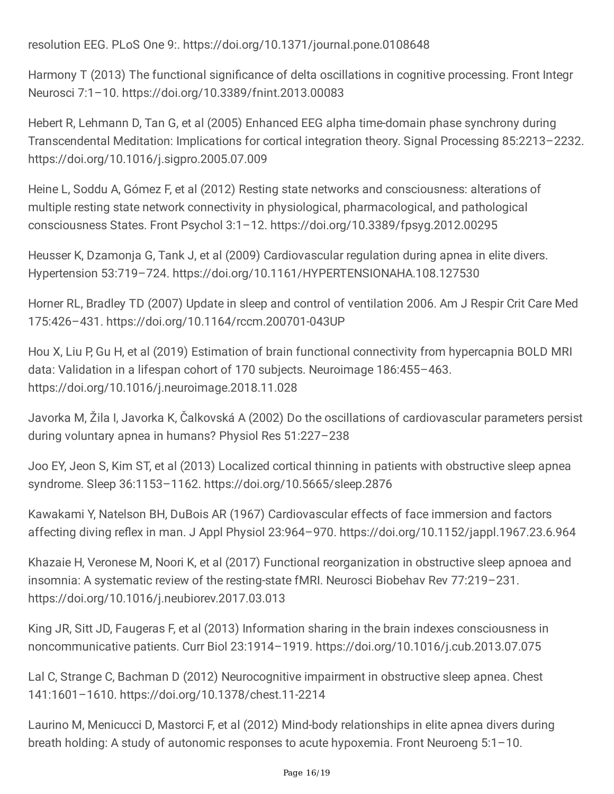resolution EEG. PLoS One 9:. https://doi.org/10.1371/journal.pone.0108648

Harmony T (2013) The functional significance of delta oscillations in cognitive processing. Front Integr Neurosci 7:1–10. https://doi.org/10.3389/fnint.2013.00083

Hebert R, Lehmann D, Tan G, et al (2005) Enhanced EEG alpha time-domain phase synchrony during Transcendental Meditation: Implications for cortical integration theory. Signal Processing 85:2213–2232. https://doi.org/10.1016/j.sigpro.2005.07.009

Heine L, Soddu A, Gómez F, et al (2012) Resting state networks and consciousness: alterations of multiple resting state network connectivity in physiological, pharmacological, and pathological consciousness States. Front Psychol 3:1–12. https://doi.org/10.3389/fpsyg.2012.00295

Heusser K, Dzamonja G, Tank J, et al (2009) Cardiovascular regulation during apnea in elite divers. Hypertension 53:719–724. https://doi.org/10.1161/HYPERTENSIONAHA.108.127530

Horner RL, Bradley TD (2007) Update in sleep and control of ventilation 2006. Am J Respir Crit Care Med 175:426–431. https://doi.org/10.1164/rccm.200701-043UP

Hou X, Liu P, Gu H, et al (2019) Estimation of brain functional connectivity from hypercapnia BOLD MRI data: Validation in a lifespan cohort of 170 subjects. Neuroimage 186:455–463. https://doi.org/10.1016/j.neuroimage.2018.11.028

Javorka M, Žila I, Javorka K, Čalkovská A (2002) Do the oscillations of cardiovascular parameters persist during voluntary apnea in humans? Physiol Res 51:227–238

Joo EY, Jeon S, Kim ST, et al (2013) Localized cortical thinning in patients with obstructive sleep apnea syndrome. Sleep 36:1153–1162. https://doi.org/10.5665/sleep.2876

Kawakami Y, Natelson BH, DuBois AR (1967) Cardiovascular effects of face immersion and factors affecting diving reflex in man. J Appl Physiol 23:964-970. https://doi.org/10.1152/jappl.1967.23.6.964

Khazaie H, Veronese M, Noori K, et al (2017) Functional reorganization in obstructive sleep apnoea and insomnia: A systematic review of the resting-state fMRI. Neurosci Biobehav Rev 77:219–231. https://doi.org/10.1016/j.neubiorev.2017.03.013

King JR, Sitt JD, Faugeras F, et al (2013) Information sharing in the brain indexes consciousness in noncommunicative patients. Curr Biol 23:1914–1919. https://doi.org/10.1016/j.cub.2013.07.075

Lal C, Strange C, Bachman D (2012) Neurocognitive impairment in obstructive sleep apnea. Chest 141:1601–1610. https://doi.org/10.1378/chest.11-2214

Laurino M, Menicucci D, Mastorci F, et al (2012) Mind-body relationships in elite apnea divers during breath holding: A study of autonomic responses to acute hypoxemia. Front Neuroeng 5:1–10.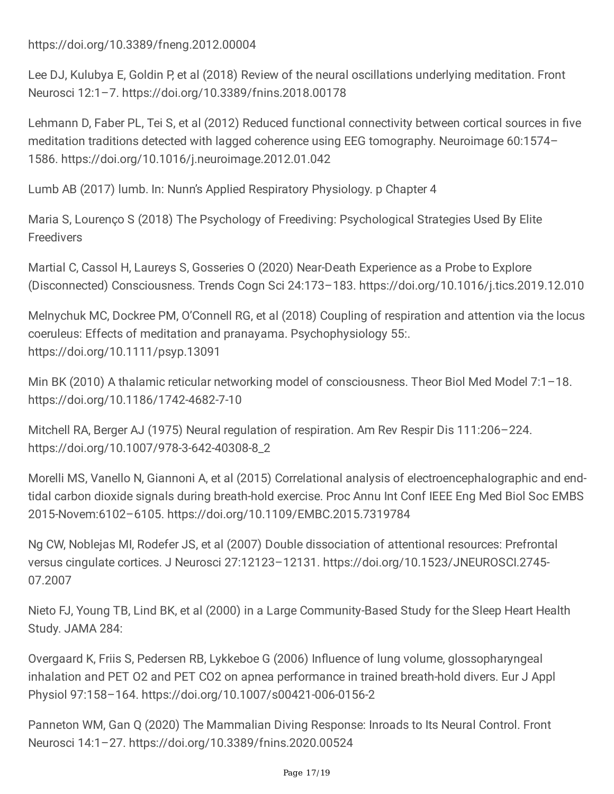https://doi.org/10.3389/fneng.2012.00004

Lee DJ, Kulubya E, Goldin P, et al (2018) Review of the neural oscillations underlying meditation. Front Neurosci 12:1–7. https://doi.org/10.3389/fnins.2018.00178

Lehmann D, Faber PL, Tei S, et al (2012) Reduced functional connectivity between cortical sources in five meditation traditions detected with lagged coherence using EEG tomography. Neuroimage 60:1574– 1586. https://doi.org/10.1016/j.neuroimage.2012.01.042

Lumb AB (2017) lumb. In: Nunn's Applied Respiratory Physiology. p Chapter 4

Maria S, Lourenço S (2018) The Psychology of Freediving: Psychological Strategies Used By Elite **Freedivers** 

Martial C, Cassol H, Laureys S, Gosseries O (2020) Near-Death Experience as a Probe to Explore (Disconnected) Consciousness. Trends Cogn Sci 24:173–183. https://doi.org/10.1016/j.tics.2019.12.010

Melnychuk MC, Dockree PM, O'Connell RG, et al (2018) Coupling of respiration and attention via the locus coeruleus: Effects of meditation and pranayama. Psychophysiology 55:. https://doi.org/10.1111/psyp.13091

Min BK (2010) A thalamic reticular networking model of consciousness. Theor Biol Med Model 7:1–18. https://doi.org/10.1186/1742-4682-7-10

Mitchell RA, Berger AJ (1975) Neural regulation of respiration. Am Rev Respir Dis 111:206–224. https://doi.org/10.1007/978-3-642-40308-8\_2

Morelli MS, Vanello N, Giannoni A, et al (2015) Correlational analysis of electroencephalographic and endtidal carbon dioxide signals during breath-hold exercise. Proc Annu Int Conf IEEE Eng Med Biol Soc EMBS 2015-Novem:6102–6105. https://doi.org/10.1109/EMBC.2015.7319784

Ng CW, Noblejas MI, Rodefer JS, et al (2007) Double dissociation of attentional resources: Prefrontal versus cingulate cortices. J Neurosci 27:12123–12131. https://doi.org/10.1523/JNEUROSCI.2745- 07.2007

Nieto FJ, Young TB, Lind BK, et al (2000) in a Large Community-Based Study for the Sleep Heart Health Study. JAMA 284:

Overgaard K, Friis S, Pedersen RB, Lykkeboe G (2006) Influence of lung volume, glossopharyngeal inhalation and PET O2 and PET CO2 on apnea performance in trained breath-hold divers. Eur J Appl Physiol 97:158–164. https://doi.org/10.1007/s00421-006-0156-2

Panneton WM, Gan Q (2020) The Mammalian Diving Response: Inroads to Its Neural Control. Front Neurosci 14:1–27. https://doi.org/10.3389/fnins.2020.00524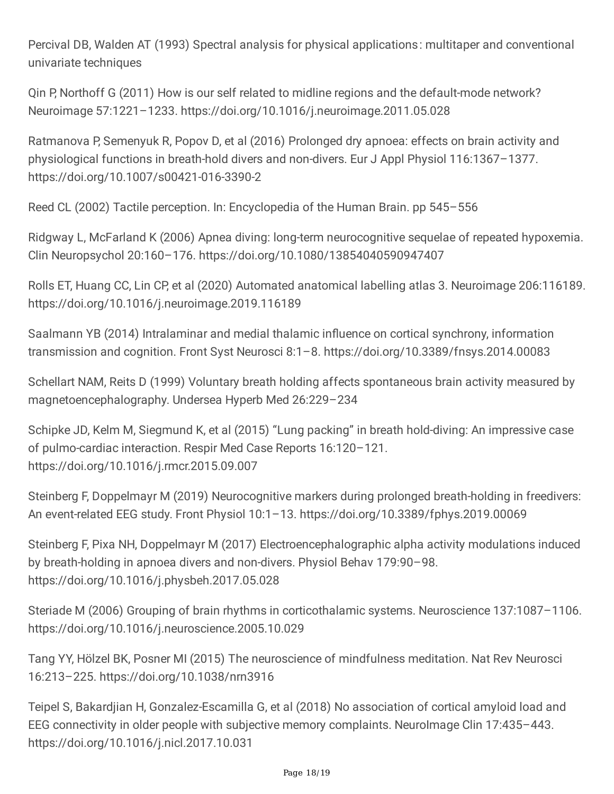Percival DB, Walden AT (1993) Spectral analysis for physical applications: multitaper and conventional univariate techniques

Qin P, Northoff G (2011) How is our self related to midline regions and the default-mode network? Neuroimage 57:1221–1233. https://doi.org/10.1016/j.neuroimage.2011.05.028

Ratmanova P, Semenyuk R, Popov D, et al (2016) Prolonged dry apnoea: effects on brain activity and physiological functions in breath-hold divers and non-divers. Eur J Appl Physiol 116:1367–1377. https://doi.org/10.1007/s00421-016-3390-2

Reed CL (2002) Tactile perception. In: Encyclopedia of the Human Brain. pp 545–556

Ridgway L, McFarland K (2006) Apnea diving: long-term neurocognitive sequelae of repeated hypoxemia. Clin Neuropsychol 20:160–176. https://doi.org/10.1080/13854040590947407

Rolls ET, Huang CC, Lin CP, et al (2020) Automated anatomical labelling atlas 3. Neuroimage 206:116189. https://doi.org/10.1016/j.neuroimage.2019.116189

Saalmann YB (2014) Intralaminar and medial thalamic influence on cortical synchrony, information transmission and cognition. Front Syst Neurosci 8:1–8. https://doi.org/10.3389/fnsys.2014.00083

Schellart NAM, Reits D (1999) Voluntary breath holding affects spontaneous brain activity measured by magnetoencephalography. Undersea Hyperb Med 26:229–234

Schipke JD, Kelm M, Siegmund K, et al (2015) "Lung packing" in breath hold-diving: An impressive case of pulmo-cardiac interaction. Respir Med Case Reports 16:120–121. https://doi.org/10.1016/j.rmcr.2015.09.007

Steinberg F, Doppelmayr M (2019) Neurocognitive markers during prolonged breath-holding in freedivers: An event-related EEG study. Front Physiol 10:1–13. https://doi.org/10.3389/fphys.2019.00069

Steinberg F, Pixa NH, Doppelmayr M (2017) Electroencephalographic alpha activity modulations induced by breath-holding in apnoea divers and non-divers. Physiol Behav 179:90–98. https://doi.org/10.1016/j.physbeh.2017.05.028

Steriade M (2006) Grouping of brain rhythms in corticothalamic systems. Neuroscience 137:1087–1106. https://doi.org/10.1016/j.neuroscience.2005.10.029

Tang YY, Hölzel BK, Posner MI (2015) The neuroscience of mindfulness meditation. Nat Rev Neurosci 16:213–225. https://doi.org/10.1038/nrn3916

Teipel S, Bakardjian H, Gonzalez-Escamilla G, et al (2018) No association of cortical amyloid load and EEG connectivity in older people with subjective memory complaints. NeuroImage Clin 17:435–443. https://doi.org/10.1016/j.nicl.2017.10.031